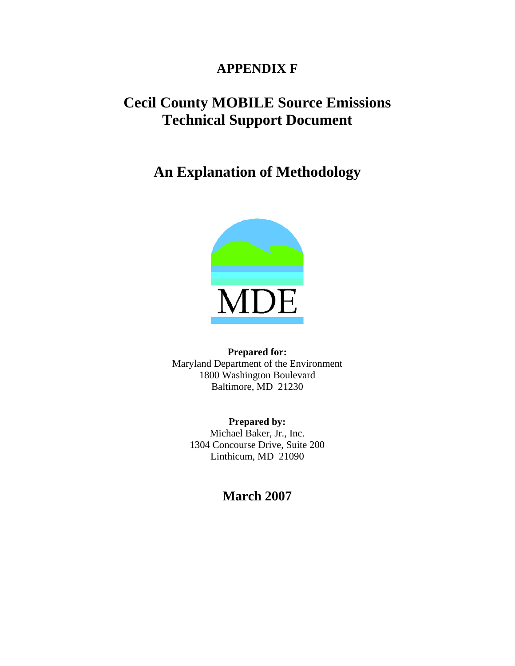### **APPENDIX F**

# **Cecil County MOBILE Source Emissions Technical Support Document**

# **An Explanation of Methodology**



**Prepared for:**  Maryland Department of the Environment 1800 Washington Boulevard Baltimore, MD 21230

> **Prepared by:**  Michael Baker, Jr., Inc. 1304 Concourse Drive, Suite 200 Linthicum, MD 21090

### **March 2007**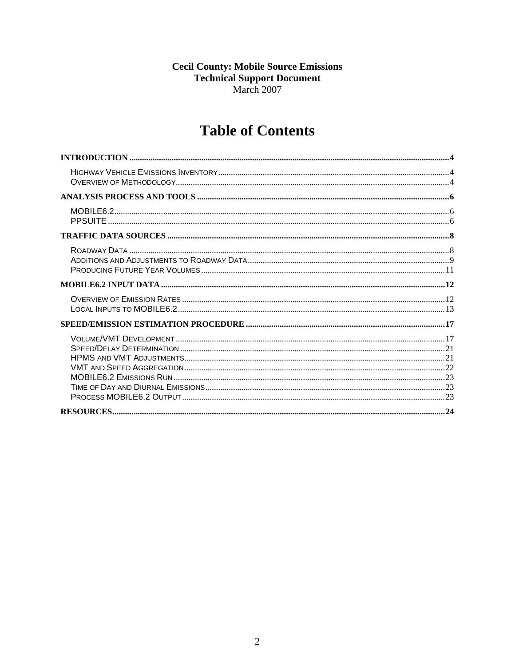# **Cecil County: Mobile Source Emissions<br>Technical Support Document** March 2007

# **Table of Contents**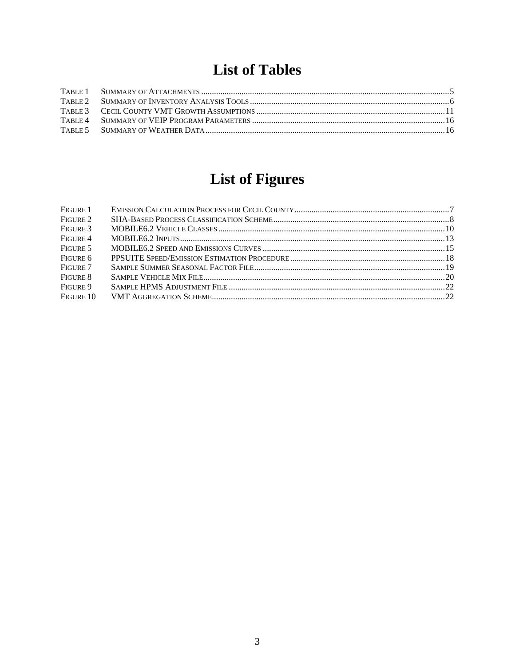# **List of Tables**

# **List of Figures**

| FIGURE 1  |  |
|-----------|--|
| FIGURE 2  |  |
| FIGURE 3  |  |
| FIGURE 4  |  |
| FIGURE 5  |  |
| FIGURE 6  |  |
| FIGURE 7  |  |
| FIGURE 8  |  |
| FIGURE 9  |  |
| FIGURE 10 |  |
|           |  |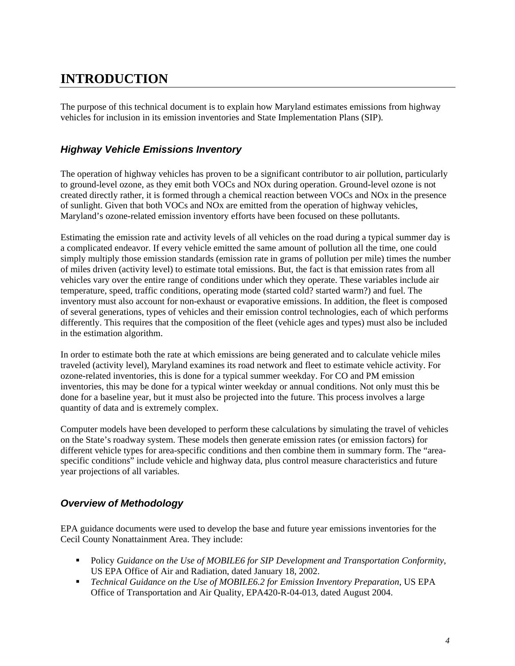## <span id="page-3-0"></span>**INTRODUCTION**

The purpose of this technical document is to explain how Maryland estimates emissions from highway vehicles for inclusion in its emission inventories and State Implementation Plans (SIP).

#### *Highway Vehicle Emissions Inventory*

The operation of highway vehicles has proven to be a significant contributor to air pollution, particularly to ground-level ozone, as they emit both VOCs and NOx during operation. Ground-level ozone is not created directly rather, it is formed through a chemical reaction between VOCs and NOx in the presence of sunlight. Given that both VOCs and NOx are emitted from the operation of highway vehicles, Maryland's ozone-related emission inventory efforts have been focused on these pollutants.

Estimating the emission rate and activity levels of all vehicles on the road during a typical summer day is a complicated endeavor. If every vehicle emitted the same amount of pollution all the time, one could simply multiply those emission standards (emission rate in grams of pollution per mile) times the number of miles driven (activity level) to estimate total emissions. But, the fact is that emission rates from all vehicles vary over the entire range of conditions under which they operate. These variables include air temperature, speed, traffic conditions, operating mode (started cold? started warm?) and fuel. The inventory must also account for non-exhaust or evaporative emissions. In addition, the fleet is composed of several generations, types of vehicles and their emission control technologies, each of which performs differently. This requires that the composition of the fleet (vehicle ages and types) must also be included in the estimation algorithm.

In order to estimate both the rate at which emissions are being generated and to calculate vehicle miles traveled (activity level), Maryland examines its road network and fleet to estimate vehicle activity. For ozone-related inventories, this is done for a typical summer weekday. For CO and PM emission inventories, this may be done for a typical winter weekday or annual conditions. Not only must this be done for a baseline year, but it must also be projected into the future. This process involves a large quantity of data and is extremely complex.

Computer models have been developed to perform these calculations by simulating the travel of vehicles on the State's roadway system. These models then generate emission rates (or emission factors) for different vehicle types for area-specific conditions and then combine them in summary form. The "areaspecific conditions" include vehicle and highway data, plus control measure characteristics and future year projections of all variables.

#### *Overview of Methodology*

EPA guidance documents were used to develop the base and future year emissions inventories for the Cecil County Nonattainment Area. They include:

- Policy *Guidance on the Use of MOBILE6 for SIP Development and Transportation Conformity*, US EPA Office of Air and Radiation, dated January 18, 2002.
- *Technical Guidance on the Use of MOBILE6.2 for Emission Inventory Preparation*, US EPA Office of Transportation and Air Quality, EPA420-R-04-013, dated August 2004.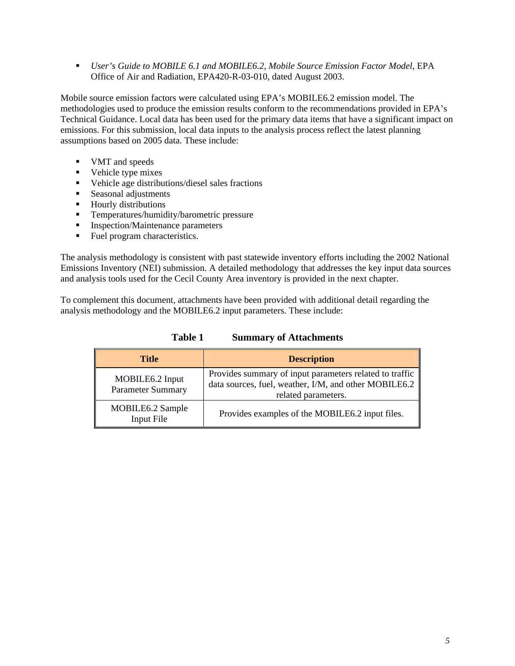<span id="page-4-0"></span> *User's Guide to MOBILE 6.1 and MOBILE6.2, Mobile Source Emission Factor Model*, EPA Office of Air and Radiation, EPA420-R-03-010, dated August 2003.

Mobile source emission factors were calculated using EPA's MOBILE6.2 emission model. The methodologies used to produce the emission results conform to the recommendations provided in EPA's Technical Guidance. Local data has been used for the primary data items that have a significant impact on emissions. For this submission, local data inputs to the analysis process reflect the latest planning assumptions based on 2005 data. These include:

- **VMT** and speeds
- Vehicle type mixes
- Vehicle age distributions/diesel sales fractions
- **Seasonal adjustments**
- **Hourly distributions**
- **Temperatures/humidity/barometric pressure**
- **Inspection/Maintenance parameters**
- Fuel program characteristics.

The analysis methodology is consistent with past statewide inventory efforts including the 2002 National Emissions Inventory (NEI) submission. A detailed methodology that addresses the key input data sources and analysis tools used for the Cecil County Area inventory is provided in the next chapter.

To complement this document, attachments have been provided with additional detail regarding the analysis methodology and the MOBILE6.2 input parameters. These include:

| <b>Title</b>                                | <b>Description</b>                                                                                                                                  |
|---------------------------------------------|-----------------------------------------------------------------------------------------------------------------------------------------------------|
| MOBILE6.2 Input<br><b>Parameter Summary</b> | Provides summary of input parameters related to traffic<br>data sources, fuel, weather, I/M, and other MOBILE6.2 $\parallel$<br>related parameters. |
| MOBILE6.2 Sample<br>Input File              | Provides examples of the MOBILE6.2 input files.                                                                                                     |

**Table 1 Summary of Attachments**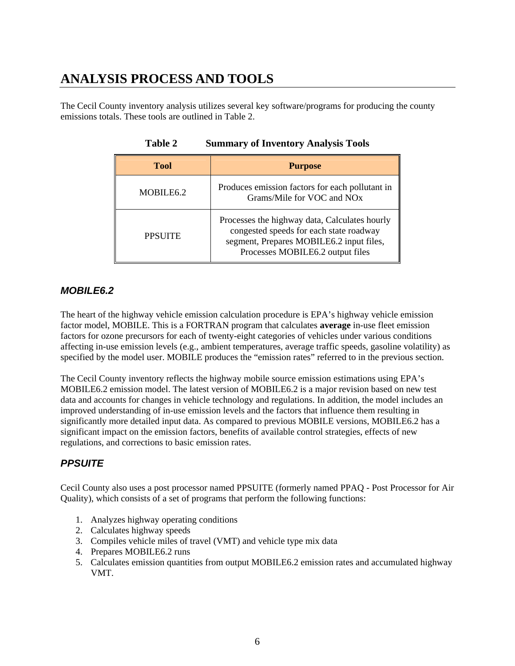## <span id="page-5-0"></span>**ANALYSIS PROCESS AND TOOLS**

The Cecil County inventory analysis utilizes several key software/programs for producing the county emissions totals. These tools are outlined in Table 2.

| <b>Tool</b>           | <b>Purpose</b>                                                                                                                                                           |
|-----------------------|--------------------------------------------------------------------------------------------------------------------------------------------------------------------------|
| MOBILE <sub>6.2</sub> | Produces emission factors for each pollutant in<br>Grams/Mile for VOC and NO <sub>x</sub>                                                                                |
| <b>PPSUITE</b>        | Processes the highway data, Calculates hourly<br>congested speeds for each state roadway<br>segment, Prepares MOBILE6.2 input files,<br>Processes MOBILE6.2 output files |

**Table 2 Summary of Inventory Analysis Tools** 

#### *MOBILE6.2*

The heart of the highway vehicle emission calculation procedure is EPA's highway vehicle emission factor model, MOBILE. This is a FORTRAN program that calculates **average** in-use fleet emission factors for ozone precursors for each of twenty-eight categories of vehicles under various conditions affecting in-use emission levels (e.g., ambient temperatures, average traffic speeds, gasoline volatility) as specified by the model user. MOBILE produces the "emission rates" referred to in the previous section.

The Cecil County inventory reflects the highway mobile source emission estimations using EPA's MOBILE6.2 emission model. The latest version of MOBILE6.2 is a major revision based on new test data and accounts for changes in vehicle technology and regulations. In addition, the model includes an improved understanding of in-use emission levels and the factors that influence them resulting in significantly more detailed input data. As compared to previous MOBILE versions, MOBILE6.2 has a significant impact on the emission factors, benefits of available control strategies, effects of new regulations, and corrections to basic emission rates.

### *PPSUITE*

Cecil County also uses a post processor named PPSUITE (formerly named PPAQ - Post Processor for Air Quality), which consists of a set of programs that perform the following functions:

- 1. Analyzes highway operating conditions
- 2. Calculates highway speeds
- 3. Compiles vehicle miles of travel (VMT) and vehicle type mix data
- 4. Prepares MOBILE6.2 runs
- 5. Calculates emission quantities from output MOBILE6.2 emission rates and accumulated highway VMT.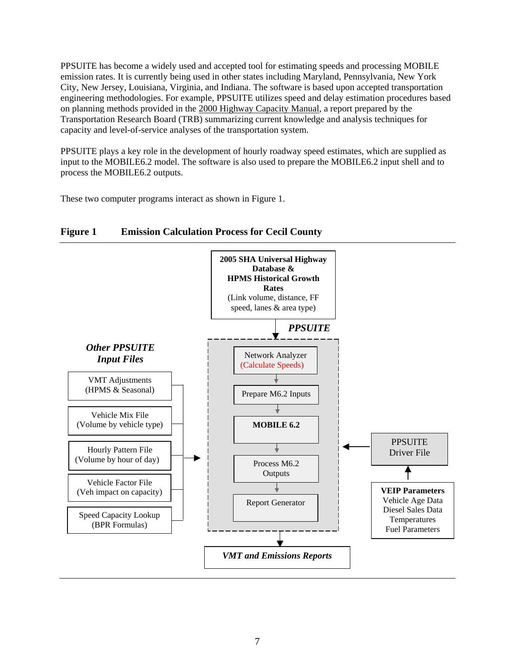<span id="page-6-0"></span>PPSUITE has become a widely used and accepted tool for estimating speeds and processing MOBILE emission rates. It is currently being used in other states including Maryland, Pennsylvania, New York City, New Jersey, Louisiana, Virginia, and Indiana. The software is based upon accepted transportation engineering methodologies. For example, PPSUITE utilizes speed and delay estimation procedures based on planning methods provided in the 2000 Highway Capacity Manual, a report prepared by the Transportation Research Board (TRB) summarizing current knowledge and analysis techniques for capacity and level-of-service analyses of the transportation system.

PPSUITE plays a key role in the development of hourly roadway speed estimates, which are supplied as input to the MOBILE6.2 model. The software is also used to prepare the MOBILE6.2 input shell and to process the MOBILE6.2 outputs.

These two computer programs interact as shown in Figure 1.



#### **Figure 1 Emission Calculation Process for Cecil County**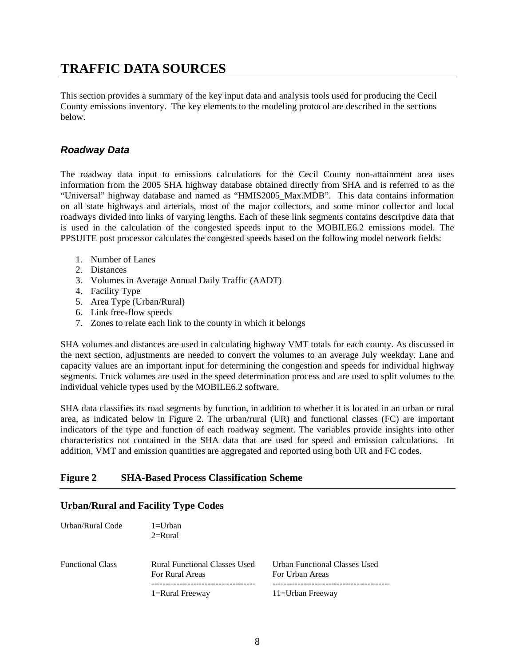### <span id="page-7-0"></span>**TRAFFIC DATA SOURCES**

This section provides a summary of the key input data and analysis tools used for producing the Cecil County emissions inventory. The key elements to the modeling protocol are described in the sections below.

#### *Roadway Data*

The roadway data input to emissions calculations for the Cecil County non-attainment area uses information from the 2005 SHA highway database obtained directly from SHA and is referred to as the "Universal" highway database and named as "HMIS2005\_Max.MDB". This data contains information on all state highways and arterials, most of the major collectors, and some minor collector and local roadways divided into links of varying lengths. Each of these link segments contains descriptive data that is used in the calculation of the congested speeds input to the MOBILE6.2 emissions model. The PPSUITE post processor calculates the congested speeds based on the following model network fields:

- 1. Number of Lanes
- 2. Distances
- 3. Volumes in Average Annual Daily Traffic (AADT)
- 4. Facility Type
- 5. Area Type (Urban/Rural)
- 6. Link free-flow speeds
- 7. Zones to relate each link to the county in which it belongs

SHA volumes and distances are used in calculating highway VMT totals for each county. As discussed in the next section, adjustments are needed to convert the volumes to an average July weekday. Lane and capacity values are an important input for determining the congestion and speeds for individual highway segments. Truck volumes are used in the speed determination process and are used to split volumes to the individual vehicle types used by the MOBILE6.2 software.

SHA data classifies its road segments by function, in addition to whether it is located in an urban or rural area, as indicated below in Figure 2. The urban/rural (UR) and functional classes (FC) are important indicators of the type and function of each roadway segment. The variables provide insights into other characteristics not contained in the SHA data that are used for speed and emission calculations. In addition, VMT and emission quantities are aggregated and reported using both UR and FC codes.

#### **Figure 2 SHA-Based Process Classification Scheme**

### Urban/Rural Code 1=Urban  $2=$ Rural Functional Class Rural Functional Classes Used Urban Functional Classes Used For Rural Areas **For Urban Areas**  ------------------------------------- ------------------------------------------ 1=Rural Freeway 11=Urban Freeway

#### **Urban/Rural and Facility Type Codes**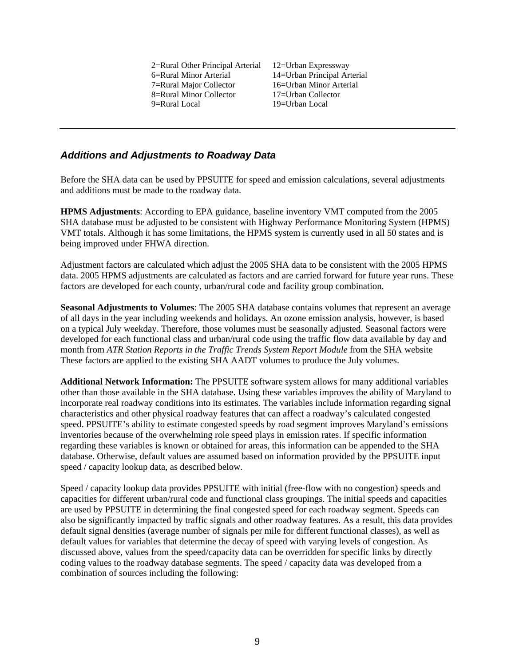2=Rural Other Principal Arterial 12=Urban Expressway 6=Rural Minor Arterial 14=Urban Principal Arterial 7=Rural Major Collector 16=Urban Minor Arterial 8=Rural Minor Collector 17=Urban Collector 9=Rural Local 19=Urban Local

#### <span id="page-8-0"></span>*Additions and Adjustments to Roadway Data*

Before the SHA data can be used by PPSUITE for speed and emission calculations, several adjustments and additions must be made to the roadway data.

**HPMS Adjustments**: According to EPA guidance, baseline inventory VMT computed from the 2005 SHA database must be adjusted to be consistent with Highway Performance Monitoring System (HPMS) VMT totals. Although it has some limitations, the HPMS system is currently used in all 50 states and is being improved under FHWA direction.

Adjustment factors are calculated which adjust the 2005 SHA data to be consistent with the 2005 HPMS data. 2005 HPMS adjustments are calculated as factors and are carried forward for future year runs. These factors are developed for each county, urban/rural code and facility group combination.

**Seasonal Adjustments to Volumes**: The 2005 SHA database contains volumes that represent an average of all days in the year including weekends and holidays. An ozone emission analysis, however, is based on a typical July weekday. Therefore, those volumes must be seasonally adjusted. Seasonal factors were developed for each functional class and urban/rural code using the traffic flow data available by day and month from *ATR Station Reports in the Traffic Trends System Report Module* from the SHA website These factors are applied to the existing SHA AADT volumes to produce the July volumes.

**Additional Network Information:** The PPSUITE software system allows for many additional variables other than those available in the SHA database. Using these variables improves the ability of Maryland to incorporate real roadway conditions into its estimates. The variables include information regarding signal characteristics and other physical roadway features that can affect a roadway's calculated congested speed. PPSUITE's ability to estimate congested speeds by road segment improves Maryland's emissions inventories because of the overwhelming role speed plays in emission rates. If specific information regarding these variables is known or obtained for areas, this information can be appended to the SHA database. Otherwise, default values are assumed based on information provided by the PPSUITE input speed / capacity lookup data, as described below.

Speed / capacity lookup data provides PPSUITE with initial (free-flow with no congestion) speeds and capacities for different urban/rural code and functional class groupings. The initial speeds and capacities are used by PPSUITE in determining the final congested speed for each roadway segment. Speeds can also be significantly impacted by traffic signals and other roadway features. As a result, this data provides default signal densities (average number of signals per mile for different functional classes), as well as default values for variables that determine the decay of speed with varying levels of congestion. As discussed above, values from the speed/capacity data can be overridden for specific links by directly coding values to the roadway database segments. The speed / capacity data was developed from a combination of sources including the following: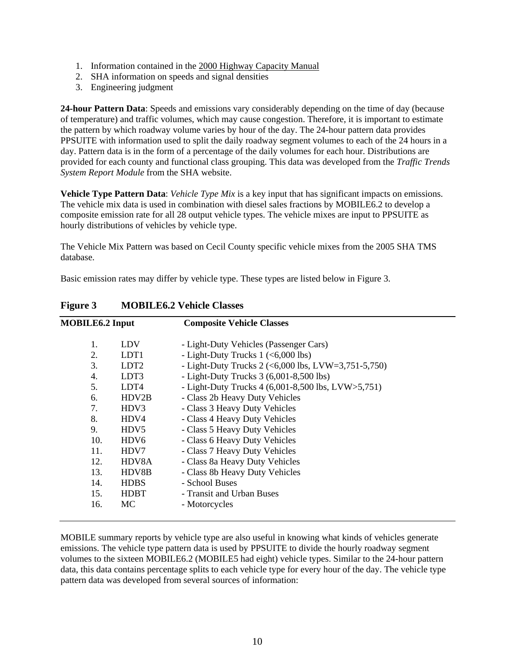- <span id="page-9-0"></span>1. Information contained in the 2000 Highway Capacity Manual
- 2. SHA information on speeds and signal densities
- 3. Engineering judgment

**24-hour Pattern Data**: Speeds and emissions vary considerably depending on the time of day (because of temperature) and traffic volumes, which may cause congestion. Therefore, it is important to estimate the pattern by which roadway volume varies by hour of the day. The 24-hour pattern data provides PPSUITE with information used to split the daily roadway segment volumes to each of the 24 hours in a day. Pattern data is in the form of a percentage of the daily volumes for each hour. Distributions are provided for each county and functional class grouping. This data was developed from the *Traffic Trends System Report Module* from the SHA website.

**Vehicle Type Pattern Data**: *Vehicle Type Mix* is a key input that has significant impacts on emissions. The vehicle mix data is used in combination with diesel sales fractions by MOBILE6.2 to develop a composite emission rate for all 28 output vehicle types. The vehicle mixes are input to PPSUITE as hourly distributions of vehicles by vehicle type.

The Vehicle Mix Pattern was based on Cecil County specific vehicle mixes from the 2005 SHA TMS database.

Basic emission rates may differ by vehicle type. These types are listed below in Figure 3.

| <b>MOBILE6.2 Input</b> |                  | <b>Composite Vehicle Classes</b>                        |  |
|------------------------|------------------|---------------------------------------------------------|--|
| 1.                     | LDV              | - Light-Duty Vehicles (Passenger Cars)                  |  |
| 2.                     | LDT <sub>1</sub> | - Light-Duty Trucks $1$ (<6,000 lbs)                    |  |
| 3.                     | LDT <sub>2</sub> | - Light-Duty Trucks 2 (<6,000 lbs, LVW=3,751-5,750)     |  |
| 4.                     | LDT3             | - Light-Duty Trucks $3(6,001-8,500$ lbs)                |  |
| 5.                     | LDT4             | - Light-Duty Trucks $4(6,001-8,500$ lbs, LVW $>5,751$ ) |  |
| 6.                     | HDV2B            | - Class 2b Heavy Duty Vehicles                          |  |
| 7.                     | HDV3             | - Class 3 Heavy Duty Vehicles                           |  |
| 8.                     | HDV4             | - Class 4 Heavy Duty Vehicles                           |  |
| 9.                     | HDV5             | - Class 5 Heavy Duty Vehicles                           |  |
| 10.                    | HDV <sub>6</sub> | - Class 6 Heavy Duty Vehicles                           |  |
| 11.                    | HDV7             | - Class 7 Heavy Duty Vehicles                           |  |
| 12.                    | HDV8A            | - Class 8a Heavy Duty Vehicles                          |  |
| 13.                    | HDV8B            | - Class 8b Heavy Duty Vehicles                          |  |
| 14.                    | <b>HDBS</b>      | - School Buses                                          |  |
| 15.                    | <b>HDBT</b>      | - Transit and Urban Buses                               |  |
| 16.                    | MC               | - Motorcycles                                           |  |
|                        |                  |                                                         |  |

**Figure 3 MOBILE6.2 Vehicle Classes**

MOBILE summary reports by vehicle type are also useful in knowing what kinds of vehicles generate emissions. The vehicle type pattern data is used by PPSUITE to divide the hourly roadway segment volumes to the sixteen MOBILE6.2 (MOBILE5 had eight) vehicle types. Similar to the 24-hour pattern data, this data contains percentage splits to each vehicle type for every hour of the day. The vehicle type pattern data was developed from several sources of information: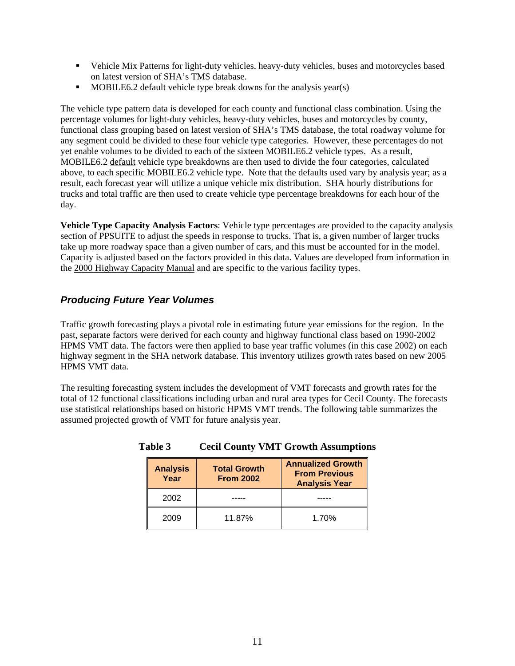- <span id="page-10-0"></span> Vehicle Mix Patterns for light-duty vehicles, heavy-duty vehicles, buses and motorcycles based on latest version of SHA's TMS database.
- $\blacksquare$  MOBILE6.2 default vehicle type break downs for the analysis year(s)

The vehicle type pattern data is developed for each county and functional class combination. Using the percentage volumes for light-duty vehicles, heavy-duty vehicles, buses and motorcycles by county, functional class grouping based on latest version of SHA's TMS database, the total roadway volume for any segment could be divided to these four vehicle type categories. However, these percentages do not yet enable volumes to be divided to each of the sixteen MOBILE6.2 vehicle types. As a result, MOBILE6.2 default vehicle type breakdowns are then used to divide the four categories, calculated above, to each specific MOBILE6.2 vehicle type. Note that the defaults used vary by analysis year; as a result, each forecast year will utilize a unique vehicle mix distribution. SHA hourly distributions for trucks and total traffic are then used to create vehicle type percentage breakdowns for each hour of the day.

**Vehicle Type Capacity Analysis Factors**: Vehicle type percentages are provided to the capacity analysis section of PPSUITE to adjust the speeds in response to trucks. That is, a given number of larger trucks take up more roadway space than a given number of cars, and this must be accounted for in the model. Capacity is adjusted based on the factors provided in this data. Values are developed from information in the 2000 Highway Capacity Manual and are specific to the various facility types.

#### *Producing Future Year Volumes*

Traffic growth forecasting plays a pivotal role in estimating future year emissions for the region. In the past, separate factors were derived for each county and highway functional class based on 1990-2002 HPMS VMT data. The factors were then applied to base year traffic volumes (in this case 2002) on each highway segment in the SHA network database. This inventory utilizes growth rates based on new 2005 HPMS VMT data.

The resulting forecasting system includes the development of VMT forecasts and growth rates for the total of 12 functional classifications including urban and rural area types for Cecil County. The forecasts use statistical relationships based on historic HPMS VMT trends. The following table summarizes the assumed projected growth of VMT for future analysis year.

| <b>Analysis</b><br>Year | <b>Total Growth</b><br><b>From 2002</b> | <b>Annualized Growth</b><br><b>From Previous</b><br><b>Analysis Year</b> |
|-------------------------|-----------------------------------------|--------------------------------------------------------------------------|
| 2002                    |                                         |                                                                          |
| 2009                    | 11.87%                                  | 1.70%                                                                    |

**Table 3 Cecil County VMT Growth Assumptions**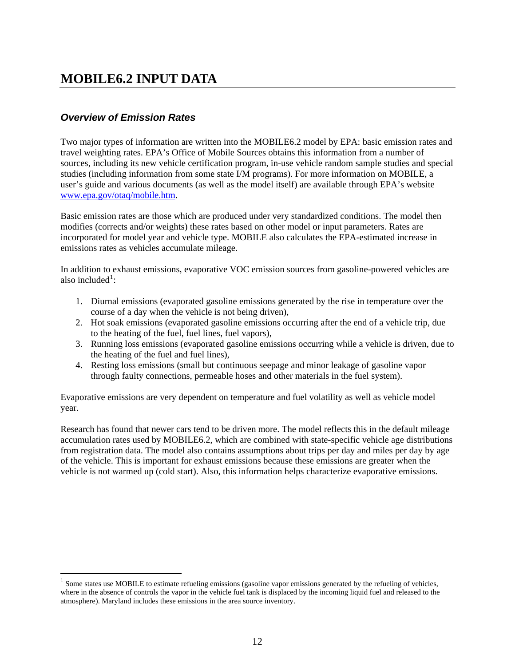### <span id="page-11-0"></span>**MOBILE6.2 INPUT DATA**

#### *Overview of Emission Rates*

 $\overline{a}$ 

Two major types of information are written into the MOBILE6.2 model by EPA: basic emission rates and travel weighting rates. EPA's Office of Mobile Sources obtains this information from a number of sources, including its new vehicle certification program, in-use vehicle random sample studies and special studies (including information from some state I/M programs). For more information on MOBILE, a user's guide and various documents (as well as the model itself) are available through EPA's website [www.epa.gov/otaq/mobile.htm.](http://www.epa.gov/otaq/mobile.htm)

Basic emission rates are those which are produced under very standardized conditions. The model then modifies (corrects and/or weights) these rates based on other model or input parameters. Rates are incorporated for model year and vehicle type. MOBILE also calculates the EPA-estimated increase in emissions rates as vehicles accumulate mileage.

In addition to exhaust emissions, evaporative VOC emission sources from gasoline-powered vehicles are also included<sup>[1](#page-11-0)</sup>:

- 1. Diurnal emissions (evaporated gasoline emissions generated by the rise in temperature over the course of a day when the vehicle is not being driven),
- 2. Hot soak emissions (evaporated gasoline emissions occurring after the end of a vehicle trip, due to the heating of the fuel, fuel lines, fuel vapors),
- 3. Running loss emissions (evaporated gasoline emissions occurring while a vehicle is driven, due to the heating of the fuel and fuel lines),
- 4. Resting loss emissions (small but continuous seepage and minor leakage of gasoline vapor through faulty connections, permeable hoses and other materials in the fuel system).

Evaporative emissions are very dependent on temperature and fuel volatility as well as vehicle model year.

Research has found that newer cars tend to be driven more. The model reflects this in the default mileage accumulation rates used by MOBILE6.2, which are combined with state-specific vehicle age distributions from registration data. The model also contains assumptions about trips per day and miles per day by age of the vehicle. This is important for exhaust emissions because these emissions are greater when the vehicle is not warmed up (cold start). Also, this information helps characterize evaporative emissions.

<sup>&</sup>lt;sup>1</sup> Some states use MOBILE to estimate refueling emissions (gasoline vapor emissions generated by the refueling of vehicles, where in the absence of controls the vapor in the vehicle fuel tank is displaced by the incoming liquid fuel and released to the atmosphere). Maryland includes these emissions in the area source inventory.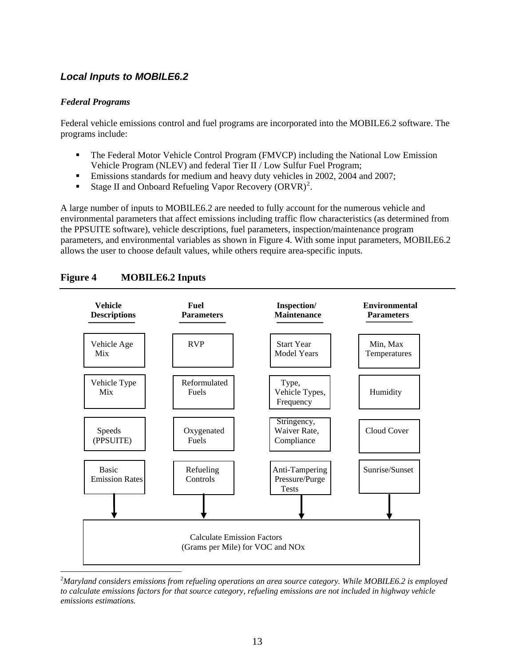#### <span id="page-12-0"></span>*Local Inputs to MOBILE6.2*

#### *Federal Programs*

 $\overline{a}$ 

Federal vehicle emissions control and fuel programs are incorporated into the MOBILE6.2 software. The programs include:

- The Federal Motor Vehicle Control Program (FMVCP) including the National Low Emission Vehicle Program (NLEV) and federal Tier II / Low Sulfur Fuel Program;
- **Emissions standards for medium and heavy duty vehicles in 2002, 2004 and 2007;**
- Stage II and Onboard Refueling Vapor Recovery  $\left($ ORVR $\right)^2$  $\right)^2$ .

A large number of inputs to MOBILE6.2 are needed to fully account for the numerous vehicle and environmental parameters that affect emissions including traffic flow characteristics (as determined from the PPSUITE software), vehicle descriptions, fuel parameters, inspection/maintenance program parameters, and environmental variables as shown in Figure 4. With some input parameters, MOBILE6.2 allows the user to choose default values, while others require area-specific inputs.



#### <span id="page-12-1"></span>**Figure 4 MOBILE6.2 Inputs**

<sup>2</sup> *Maryland considers emissions from refueling operations an area source category. While MOBILE6.2 is employed to calculate emissions factors for that source category, refueling emissions are not included in highway vehicle emissions estimations.*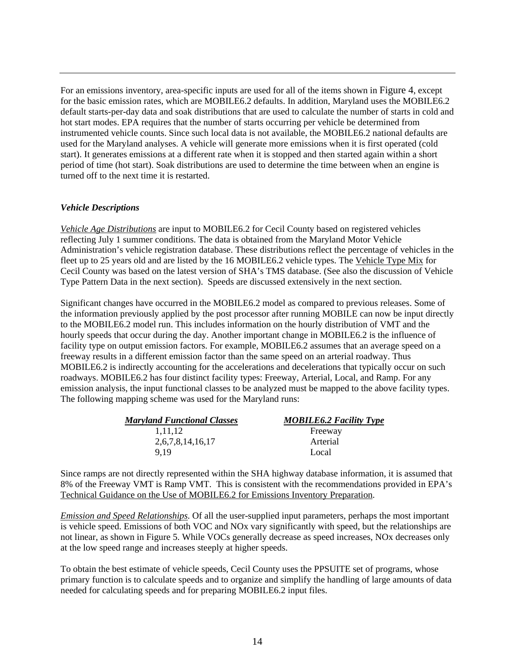For an emissions inventory, area-specific inputs are used for all of the items shown in [Figure 4,](#page-12-1) except for the basic emission rates, which are MOBILE6.2 defaults. In addition, Maryland uses the MOBILE6.2 default starts-per-day data and soak distributions that are used to calculate the number of starts in cold and hot start modes. EPA requires that the number of starts occurring per vehicle be determined from instrumented vehicle counts. Since such local data is not available, the MOBILE6.2 national defaults are used for the Maryland analyses. A vehicle will generate more emissions when it is first operated (cold start). It generates emissions at a different rate when it is stopped and then started again within a short period of time (hot start). Soak distributions are used to determine the time between when an engine is turned off to the next time it is restarted.

#### *Vehicle Descriptions*

*Vehicle Age Distributions* are input to MOBILE6.2 for Cecil County based on registered vehicles reflecting July 1 summer conditions. The data is obtained from the Maryland Motor Vehicle Administration's vehicle registration database. These distributions reflect the percentage of vehicles in the fleet up to 25 years old and are listed by the 16 MOBILE6.2 vehicle types. The Vehicle Type Mix for Cecil County was based on the latest version of SHA's TMS database. (See also the discussion of Vehicle Type Pattern Data in the next section). Speeds are discussed extensively in the next section.

Significant changes have occurred in the MOBILE6.2 model as compared to previous releases. Some of the information previously applied by the post processor after running MOBILE can now be input directly to the MOBILE6.2 model run. This includes information on the hourly distribution of VMT and the hourly speeds that occur during the day. Another important change in MOBILE6.2 is the influence of facility type on output emission factors. For example, MOBILE6.2 assumes that an average speed on a freeway results in a different emission factor than the same speed on an arterial roadway. Thus MOBILE6.2 is indirectly accounting for the accelerations and decelerations that typically occur on such roadways. MOBILE6.2 has four distinct facility types: Freeway, Arterial, Local, and Ramp. For any emission analysis, the input functional classes to be analyzed must be mapped to the above facility types. The following mapping scheme was used for the Maryland runs:

| <b>Maryland Functional Classes</b> | <b>MOBILE6.2 Facility Type</b> |
|------------------------------------|--------------------------------|
| 1.11.12                            | Freeway                        |
| 2,6,7,8,14,16,17                   | Arterial                       |
| 9.19                               | Local                          |

Since ramps are not directly represented within the SHA highway database information, it is assumed that 8% of the Freeway VMT is Ramp VMT. This is consistent with the recommendations provided in EPA's Technical Guidance on the Use of MOBILE6.2 for Emissions Inventory Preparation.

*Emission and Speed Relationships*. Of all the user-supplied input parameters, perhaps the most important is vehicle speed. Emissions of both VOC and NOx vary significantly with speed, but the relationships are not linear, as shown in Figure 5. While VOCs generally decrease as speed increases, NOx decreases only at the low speed range and increases steeply at higher speeds.

To obtain the best estimate of vehicle speeds, Cecil County uses the PPSUITE set of programs, whose primary function is to calculate speeds and to organize and simplify the handling of large amounts of data needed for calculating speeds and for preparing MOBILE6.2 input files.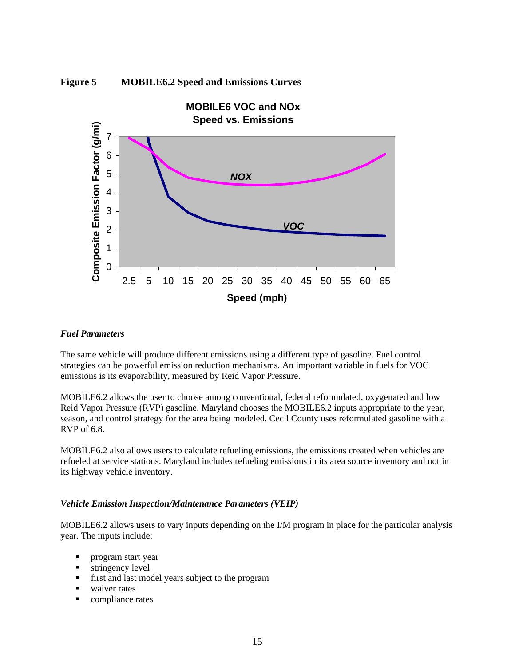<span id="page-14-0"></span>



#### *Fuel Parameters*

The same vehicle will produce different emissions using a different type of gasoline. Fuel control strategies can be powerful emission reduction mechanisms. An important variable in fuels for VOC emissions is its evaporability, measured by Reid Vapor Pressure.

MOBILE6.2 allows the user to choose among conventional, federal reformulated, oxygenated and low Reid Vapor Pressure (RVP) gasoline. Maryland chooses the MOBILE6.2 inputs appropriate to the year, season, and control strategy for the area being modeled. Cecil County uses reformulated gasoline with a RVP of 6.8.

MOBILE6.2 also allows users to calculate refueling emissions, the emissions created when vehicles are refueled at service stations. Maryland includes refueling emissions in its area source inventory and not in its highway vehicle inventory.

#### *Vehicle Emission Inspection/Maintenance Parameters (VEIP)*

MOBILE6.2 allows users to vary inputs depending on the I/M program in place for the particular analysis year. The inputs include:

- **program start year**
- **stringency level**
- first and last model years subject to the program
- waiver rates
- **compliance rates**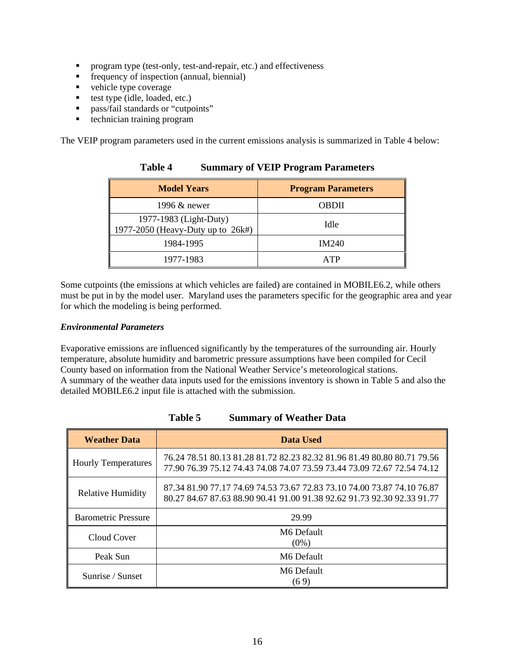- <span id="page-15-0"></span>**Perogram type (test-only, test-and-repair, etc.) and effectiveness**
- **Figure** frequency of inspection (annual, biennial)
- vehicle type coverage
- test type (idle, loaded, etc.)
- **pass/fail standards or "cutpoints"**
- technician training program

The VEIP program parameters used in the current emissions analysis is summarized in Table 4 below:

| <b>Model Years</b>                                          | <b>Program Parameters</b> |
|-------------------------------------------------------------|---------------------------|
| 1996 & newer                                                | <b>OBDII</b>              |
| 1977-1983 (Light-Duty)<br>1977-2050 (Heavy-Duty up to 26k#) | Idle                      |
| 1984-1995                                                   | <b>IM240</b>              |
| 1977-1983                                                   | A TP                      |

#### **Table 4 Summary of VEIP Program Parameters**

Some cutpoints (the emissions at which vehicles are failed) are contained in MOBILE6.2, while others must be put in by the model user. Maryland uses the parameters specific for the geographic area and year for which the modeling is being performed.

#### *Environmental Parameters*

Evaporative emissions are influenced significantly by the temperatures of the surrounding air. Hourly temperature, absolute humidity and barometric pressure assumptions have been compiled for Cecil County based on information from the National Weather Service's meteorological stations. A summary of the weather data inputs used for the emissions inventory is shown in Table 5 and also the detailed MOBILE6.2 input file is attached with the submission.

| <b>Weather Data</b>        | Data Used                                                                                                                                          |
|----------------------------|----------------------------------------------------------------------------------------------------------------------------------------------------|
| <b>Hourly Temperatures</b> | 76.24 78.51 80.13 81.28 81.72 82.23 82.32 81.96 81.49 80.80 80.71 79.56<br>77.90 76.39 75.12 74.43 74.08 74.07 73.59 73.44 73.09 72.67 72.54 74.12 |
| <b>Relative Humidity</b>   | 87.34 81.90 77.17 74.69 74.53 73.67 72.83 73.10 74.00 73.87 74.10 76.87<br>80.27 84.67 87.63 88.90 90.41 91.00 91.38 92.62 91.73 92.30 92.33 91.77 |
| <b>Barometric Pressure</b> | 29.99                                                                                                                                              |
| Cloud Cover                | M6 Default<br>$(0\%)$                                                                                                                              |
| Peak Sun                   | M6 Default                                                                                                                                         |
| Sunrise / Sunset           | M6 Default<br>(69)                                                                                                                                 |

**Table 5 Summary of Weather Data**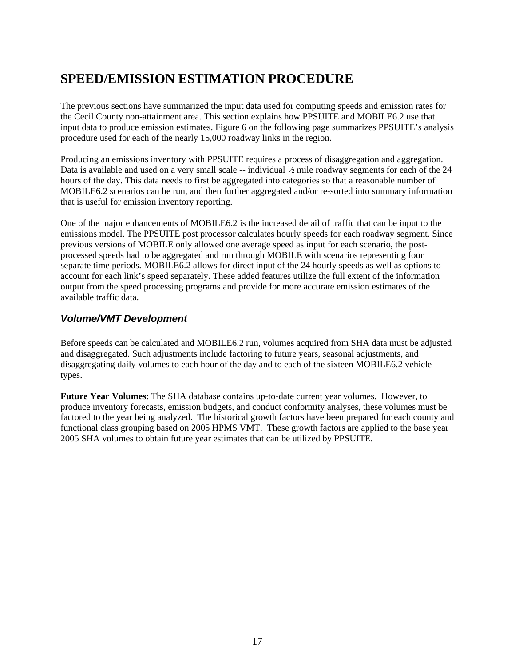## <span id="page-16-0"></span>**SPEED/EMISSION ESTIMATION PROCEDURE**

The previous sections have summarized the input data used for computing speeds and emission rates for the Cecil County non-attainment area. This section explains how PPSUITE and MOBILE6.2 use that input data to produce emission estimates. Figure 6 on the following page summarizes PPSUITE's analysis procedure used for each of the nearly 15,000 roadway links in the region.

Producing an emissions inventory with PPSUITE requires a process of disaggregation and aggregation. Data is available and used on a very small scale  $-$  individual  $\frac{1}{2}$  mile roadway segments for each of the 24 hours of the day. This data needs to first be aggregated into categories so that a reasonable number of MOBILE6.2 scenarios can be run, and then further aggregated and/or re-sorted into summary information that is useful for emission inventory reporting.

One of the major enhancements of MOBILE6.2 is the increased detail of traffic that can be input to the emissions model. The PPSUITE post processor calculates hourly speeds for each roadway segment. Since previous versions of MOBILE only allowed one average speed as input for each scenario, the postprocessed speeds had to be aggregated and run through MOBILE with scenarios representing four separate time periods. MOBILE6.2 allows for direct input of the 24 hourly speeds as well as options to account for each link's speed separately. These added features utilize the full extent of the information output from the speed processing programs and provide for more accurate emission estimates of the available traffic data.

#### *Volume/VMT Development*

Before speeds can be calculated and MOBILE6.2 run, volumes acquired from SHA data must be adjusted and disaggregated. Such adjustments include factoring to future years, seasonal adjustments, and disaggregating daily volumes to each hour of the day and to each of the sixteen MOBILE6.2 vehicle types.

**Future Year Volumes**: The SHA database contains up-to-date current year volumes. However, to produce inventory forecasts, emission budgets, and conduct conformity analyses, these volumes must be factored to the year being analyzed. The historical growth factors have been prepared for each county and functional class grouping based on 2005 HPMS VMT. These growth factors are applied to the base year 2005 SHA volumes to obtain future year estimates that can be utilized by PPSUITE.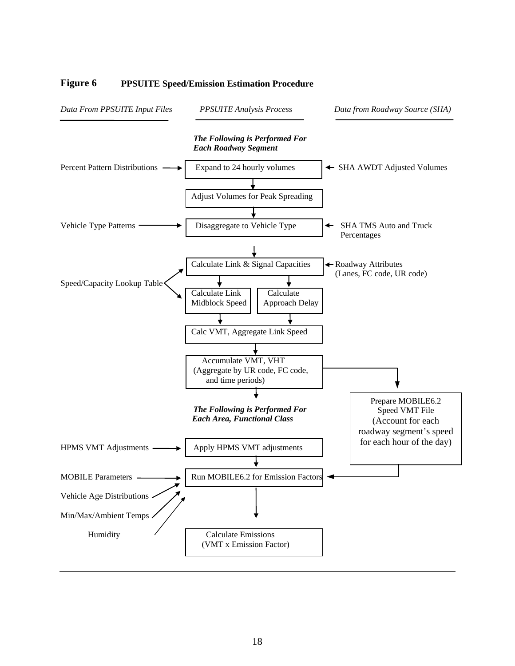

#### <span id="page-17-0"></span>**Figure 6 PPSUITE Speed/Emission Estimation Procedure**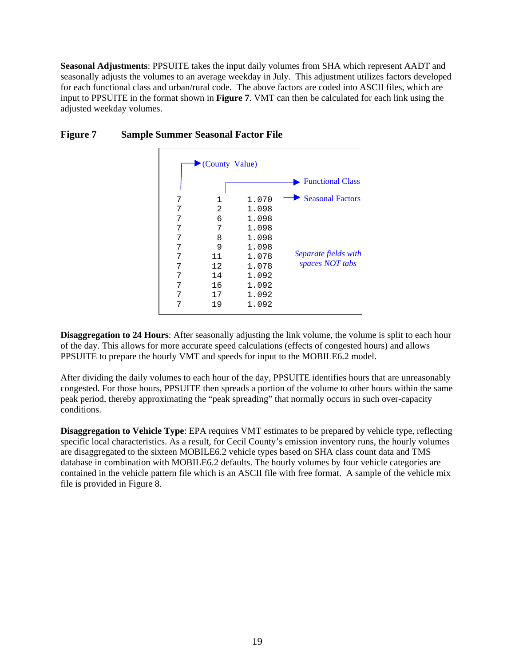<span id="page-18-0"></span>**Seasonal Adjustments**: PPSUITE takes the input daily volumes from SHA which represent AADT and seasonally adjusts the volumes to an average weekday in July. This adjustment utilizes factors developed for each functional class and urban/rural code. The above factors are coded into ASCII files, which are input to PPSUITE in the format shown in **Figure 7**. VMT can then be calculated for each link using the adjusted weekday volumes.

|   | County Value) |       |                         |
|---|---------------|-------|-------------------------|
|   |               |       | <b>Functional Class</b> |
| 7 | 1             | 1.070 | <b>Seasonal Factors</b> |
| 7 | 2             | 1.098 |                         |
| 7 | 6             | 1.098 |                         |
| 7 | 7             | 1.098 |                         |
| 7 | 8             | 1.098 |                         |
| 7 | 9             | 1.098 |                         |
| 7 | 11            | 1.078 | Separate fields with    |
| 7 | 12            | 1.078 | spaces NOT tabs         |
| 7 | 14            | 1.092 |                         |
| 7 | 16            | 1.092 |                         |
| 7 | 17            | 1.092 |                         |
| 7 | 19            | 1.092 |                         |

#### **Figure 7 Sample Summer Seasonal Factor File**

**Disaggregation to 24 Hours:** After seasonally adjusting the link volume, the volume is split to each hour of the day. This allows for more accurate speed calculations (effects of congested hours) and allows PPSUITE to prepare the hourly VMT and speeds for input to the MOBILE6.2 model.

After dividing the daily volumes to each hour of the day, PPSUITE identifies hours that are unreasonably congested. For those hours, PPSUITE then spreads a portion of the volume to other hours within the same peak period, thereby approximating the "peak spreading" that normally occurs in such over-capacity conditions.

**Disaggregation to Vehicle Type**: EPA requires VMT estimates to be prepared by vehicle type, reflecting specific local characteristics. As a result, for Cecil County's emission inventory runs, the hourly volumes are disaggregated to the sixteen MOBILE6.2 vehicle types based on SHA class count data and TMS database in combination with MOBILE6.2 defaults. The hourly volumes by four vehicle categories are contained in the vehicle pattern file which is an ASCII file with free format. A sample of the vehicle mix file is provided in Figure 8.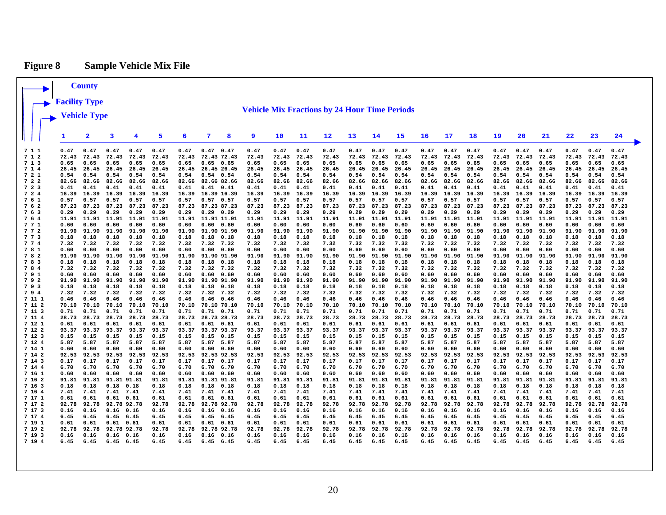### **Figure 8 Sample Vehicle Mix File**

<span id="page-19-0"></span>

|                  |               | <b>County</b>       |               |               |               |               |                              |              |                                                      |               |               |               |               |               |               |               |               |               |               |               |               |               |               |               |
|------------------|---------------|---------------------|---------------|---------------|---------------|---------------|------------------------------|--------------|------------------------------------------------------|---------------|---------------|---------------|---------------|---------------|---------------|---------------|---------------|---------------|---------------|---------------|---------------|---------------|---------------|---------------|
|                  | Facility Type |                     |               |               |               |               |                              |              |                                                      |               |               |               |               |               |               |               |               |               |               |               |               |               |               |               |
|                  |               |                     |               |               |               |               |                              |              | <b>Vehicle Mix Fractions by 24 Hour Time Periods</b> |               |               |               |               |               |               |               |               |               |               |               |               |               |               |               |
|                  | Vehicle Type  |                     |               |               |               |               |                              |              |                                                      |               |               |               |               |               |               |               |               |               |               |               |               |               |               |               |
|                  |               |                     |               |               |               |               |                              |              |                                                      |               |               |               |               |               |               |               |               |               |               |               |               |               |               |               |
|                  | 1             | 2                   | 3             | 4             | 5             | 6             | 7                            | 8            | 9                                                    | 10            | 11            | 12            | 13            | 14            | 15            | 16            | 17            | 18            | 19            | 20            | 21            | 22            | 23            | 24            |
| 711              | 0.47          | 0.47                | 0.47          | 0.47          | 0.47          | 0.47          | 0.47                         | 0.47         | 0.47                                                 | 0.47          | 0.47          | 0.47          | 0.47          | 0.47          | 0.47          | 0.47          | 0.47          | 0.47          | 0.47          | 0.47          | 0.47          | 0.47          | 0.47          | 0.47          |
| 712<br>7 1 3     | 72.43<br>0.65 | 72.43<br>0.65       | 72.43<br>0.65 | 72.43<br>0.65 | 72.43<br>0.65 | 72.43<br>0.65 | 72.43 72.43<br>$0.65$ 0.65   |              | 72.43<br>0.65                                        | 72.43<br>0.65 | 72.43<br>0.65 | 72.43<br>0.65 | 72.43<br>0.65 | 72.43<br>0.65 | 72.43<br>0.65 | 72.43<br>0.65 | 72.43<br>0.65 | 72.43<br>0.65 | 72.43<br>0.65 | 72.43<br>0.65 | 72.43<br>0.65 | 72.43<br>0.65 | 72.43<br>0.65 | 72.43<br>0.65 |
| 7 1 4            | 26.45         | 26.45               | 26.45         | 26.45         | 26.45         | 26.45         | 26.45 26.45                  |              | 26.45                                                | 26.45         | 26.45         | 26.45         | 26.45         | 26.45         | 26.45         | 26.45         | 26.45         | 26.45         | 26.45         | 26.45         | 26.45         | 26.45         | 26.45         | 26.45         |
| 721              | 0.54          | 0.54                | 0.54          | 0.54          | 0.54          | 0.54          | $0.54$ 0.54                  |              | 0.54                                                 | 0.54          | 0.54          | 0.54          | 0.54          | 0.54          | 0.54          | 0.54          | 0.54          | 0.54          | 0.54          | 0.54          | 0.54          | 0.54          | 0.54          | 0.54          |
| 722              | 82.66         | 82.66               | 82.66         | 82.66         | 82.66         | 82.66         | 82.66 82.66                  |              | 82.66                                                | 82.66         | 82.66         | 82.66         | 82.66         | 82.66         | 82.66         | 82.66         | 82.66         | 82.66         | 82.66         | 82.66         | 82.66         | 82.66         | 82.66         | 82.66         |
| 723              | 0.41          | 0.41                | 0.41          | 0.41          | 0.41          | 0.41          | $0.41$ $0.41$                |              | 0.41                                                 | 0.41          | 0.41          | 0.41          | 0.41          | 0.41          | 0.41          | 0.41          | 0.41          | 0.41          | 0.41          | 0.41          | 0.41          | 0.41          | 0.41          | 0.41          |
| 724              | 16.39         | 16.39               | 16.39         | 16.39         | 16.39         | 16.39         | 16.39 16.39                  |              | 16.39                                                | 16.39         | 16.39         | 16.39         | 16.39         | 16.39         | 16.39         | 16.39         | 16.39         | 16.39         | 16.39         | 16.39         | 16.39         | 16.39         | 16.39         | 16.39         |
| 761<br>762       | 0.57<br>87.23 | 0.57<br>87.23       | 0.57<br>87.23 | 0.57<br>87.23 | 0.57<br>87.23 | 0.57<br>87.23 | $0.57$ 0.57<br>87.23 87.23   |              | 0.57<br>87.23                                        | 0.57<br>87.23 | 0.57<br>87.23 | 0.57<br>87.23 | 0.57<br>87.23 | 0.57<br>87.23 | 0.57<br>87.23 | 0.57<br>87.23 | 0.57<br>87.23 | 0.57<br>87.23 | 0.57<br>87.23 | 0.57<br>87.23 | 0.57<br>87.23 | 0.57<br>87.23 | 0.57<br>87.23 | 0.57<br>87.23 |
| 7 6 3            | 0.29          | 0.29                | 0.29          | 0.29          | 0.29          | 0.29          | $0.29$ $0.29$                |              | 0.29                                                 | 0.29          | 0.29          | 0.29          | 0.29          | 0.29          | 0.29          | 0.29          | 0.29          | 0.29          | 0.29          | 0.29          | 0.29          | 0.29          | 0.29          | 0.29          |
| 764              | 11.91         | 11.91               |               | 11.91 11.91   | 11.91         | 11.91         | 11.91 11.91                  |              | 11.91                                                | 11.91         | 11.91         | 11.91         | 11.91         | 11.91         | 11.91         | 11.91         | 11.91         | 11.91         | 11.91         | 11.91         | 11.91         | 11.91         | 11.91         | 11.91         |
| 771              | 0.60          | 0.60                | 0.60          | 0.60          | 0.60          | 0.60          | 0.60 0.60                    |              | 0.60                                                 | 0.60          | 0.60          | 0.60          | 0.60          | 0.60          | 0.60          | 0.60          | 0.60          | 0.60          | 0.60          | 0.60          | 0.60          | 0.60          | 0.60          | 0.60          |
| 772              | 91.90         | 91.90               | 91.90         | 91.90         | 91.90         | 91.90         | 91.90 91.90                  |              | 91.90                                                | 91.90         | 91.90         | 91.90         | 91.90         | 91.90         | 91.90         | 91.90         | 91.90         | 91.90         | 91.90         | 91.90         | 91.90         | 91.90         | 91.90         | 91.90         |
| 773              | 0.18          | 0.18                | 0.18          | 0.18          | 0.18          | 0.18          | $0.18$ $0.18$                |              | 0.18                                                 | 0.18          | 0.18          | 0.18          | 0.18          | 0.18          | 0.18          | 0.18          | 0.18          | 0.18          | 0.18          | 0.18          | 0.18          | 0.18          | 0.18          | 0.18          |
| 7 7 4<br>781     | 7.32<br>0.60  | 7.32<br>0.60        | 7.32<br>0.60  | 7.32<br>0.60  | 7.32<br>0.60  | 7.32<br>0.60  | 7.32 7.32<br>0.60            | 0.60         | 7.32<br>0.60                                         | 7.32<br>0.60  | 7.32<br>0.60  | 7.32<br>0.60  | 7.32<br>0.60  | 7.32<br>0.60  | 7.32<br>0.60  | 7.32<br>0.60  | 7.32<br>0.60  | 7.32<br>0.60  | 7.32<br>0.60  | 7.32<br>0.60  | 7.32<br>0.60  | 7.32<br>0.60  | 7.32<br>0.60  | 7.32<br>0.60  |
| 782              | 91.90         | 91.90               | 91.90         | 91.90         | 91.90         | 91.90         | 91.90 91.90                  |              | 91.90                                                | 91.90         | 91.90         | 91.90         | 91.90         | 91.90         | 91.90         | 91.90         | 91.90         | 91.90         | 91.90         | 91.90         | 91.90         | 91.90         | 91.90         | 91.90         |
| 783              | 0.18          | 0.18                | 0.18          | 0.18          | 0.18          | 0.18          | $0.18$ $0.18$                |              | 0.18                                                 | 0.18          | 0.18          | 0.18          | 0.18          | 0.18          | 0.18          | 0.18          | 0.18          | 0.18          | 0.18          | 0.18          | 0.18          | 0.18          | 0.18          | 0.18          |
| 784              | 7.32          | 7.32                | 7.32          | 7.32          | 7.32          | 7.32          | 7.32 7.32                    |              | 7.32                                                 | 7.32          | 7.32          | 7.32          | 7.32          | 7.32          | 7.32          | 7.32          | 7.32          | 7.32          | 7.32          | 7.32          | 7.32          | 7.32          | 7.32          | 7.32          |
| 791              | 0.60          | 0.60                | 0.60          | 0.60          | 0.60          | 0.60          | 0.60                         | 0.60         | 0.60                                                 | 0.60          | 0.60          | 0.60          | 0.60          | 0.60          | 0.60          | 0.60          | 0.60          | 0.60          | 0.60          | 0.60          | 0.60          | 0.60          | 0.60          | 0.60          |
| 792              | 91.90<br>0.18 | 91.90               | 91.90<br>0.18 | 91.90         | 91.90         | 91.90         | 91.90 91.90                  |              | 91.90                                                | 91.90         | 91.90         | 91.90         | 91.90         | 91.90<br>0.18 | 91.90<br>0.18 | 91.90         | 91.90         | 91.90<br>0.18 | 91.90<br>0.18 | 91.90         | 91.90         | 91.90<br>0.18 | 91.90<br>0.18 | 91.90<br>0.18 |
| 793<br>794       | 7.32          | 0.18<br>7.32        | 7.32          | 0.18<br>7.32  | 0.18<br>7.32  | 0.18<br>7.32  | $0.18$ $0.18$<br>7.32 7.32   |              | 0.18<br>7.32                                         | 0.18<br>7.32  | 0.18<br>7.32  | 0.18<br>7.32  | 0.18<br>7.32  | 7.32          | 7.32          | 0.18<br>7.32  | 0.18<br>7.32  | 7.32          | 7.32          | 0.18<br>7.32  | 0.18<br>7.32  | 7.32          | 7.32          | 7.32          |
| 7 11 1           | 0.46          | 0.46                | 0.46          | 0.46          | 0.46          | 0.46          | $0.46$ 0.46                  |              | 0.46                                                 | 0.46          | 0.46          | 0.46          | 0.46          | 0.46          | 0.46          | 0.46          | 0.46          | 0.46          | 0.46          | 0.46          | 0.46          | 0.46          | 0.46          | 0.46          |
| 7 11 2           | 70.10         | 70.10               | 70.10         | 70.10         | 70.10         | 70.10         | 70.10 70.10                  |              | 70.10                                                | 70.10         | 70.10         | 70.10         | 70.10         | 70.10         | 70.10         | 70.10         | 70.10         | 70.10         | 70.10         | 70.10         | 70.10         | 70.10         | 70.10         | 70.10         |
| 7 11 3           | 0.71          | 0.71                | 0.71          | 0.71          | 0.71          | 0.71          | $0.71$ $0.71$                |              | 0.71                                                 | 0.71          | 0.71          | 0.71          | 0.71          | 0.71          | 0.71          | 0.71          | 0.71          | 0.71          | 0.71          | 0.71          | 0.71          | 0.71          | 0.71          | 0.71          |
| 7 11 4           | 28.73         | 28.73               | 28.73         | 28.73         | 28.73         | 28.73         | 28.73 28.73                  |              | 28.73                                                | 28.73         | 28.73         | 28.73         | 28.73         | 28.73         | 28.73         | 28.73         | 28.73         | 28.73         | 28.73         | 28.73         | 28.73         | 28.73         | 28.73         | 28.73         |
| 7 12 1<br>7 12 2 | 0.61          | 0.61<br>93.37 93.37 | 0.61<br>93.37 | 0.61<br>93.37 | 0.61<br>93.37 | 0.61<br>93.37 | $0.61$ $0.61$<br>93.37 93.37 |              | 0.61<br>93.37                                        | 0.61<br>93.37 | 0.61<br>93.37 | 0.61<br>93.37 | 0.61<br>93.37 | 0.61<br>93.37 | 0.61<br>93.37 | 0.61<br>93.37 | 0.61<br>93.37 | 0.61<br>93.37 | 0.61<br>93.37 | 0.61<br>93.37 | 0.61<br>93.37 | 0.61<br>93.37 | 0.61<br>93.37 | 0.61<br>93.37 |
| 7 12 3           | 0.15          | 0.15                | 0.15          | 0.15          | 0.15          | 0.15          | $0.15$ $0.15$                |              | 0.15                                                 | 0.15          | 0.15          | 0.15          | 0.15          | 0.15          | 0.15          | 0.15          | 0.15          | 0.15          | 0.15          | 0.15          | 0.15          | 0.15          | 0.15          | 0.15          |
| 7 12 4           | 5.87          | 5.87                | 5.87          | 5.87          | 5.87          | 5.87          | 5.87                         | 5.87         | 5.87                                                 | 5.87          | 5.87          | 5.87          | 5.87          | 5.87          | 5.87          | 5.87          | 5.87          | 5.87          | 5.87          | 5.87          | 5.87          | 5.87          | 5.87          | 5.87          |
| 7 14 1           | 0.60          | 0.60                | 0.60          | 0.60          | 0.60          | 0.60          | 0.60                         | 0.60         | 0.60                                                 | 0.60          | 0.60          | 0.60          | 0.60          | 0.60          | 0.60          | 0.60          | 0.60          | 0.60          | 0.60          | 0.60          | 0.60          | 0.60          | 0.60          | 0.60          |
| 7 14 2           | 92.53         | 92.53               | 92.53         | 92.53         | 92.53         | 92.53         | 92.53 92.53                  |              | 92.53                                                | 92.53         | 92.53         | 92.53         | 92.53         | 92.53         | 92.53         | 92.53         | 92.53         | 92.53         | 92.53         | 92.53         | 92.53         | 92.53         | 92.53         | 92.53         |
| 7 14 3           | 0.17          | 0.17                | 0.17          | 0.17          | 0.17          | 0.17          | 0.17                         | 0.17         | 0.17                                                 | 0.17          | 0.17          | 0.17          | 0.17          | 0.17          | 0.17          | 0.17          | 0.17          | 0.17          | 0.17          | 0.17          | 0.17          | 0.17          | 0.17          | 0.17          |
| 7 14 4<br>7 16 1 | 6.70<br>0.60  | 6.70<br>0.60        | 6.70<br>0.60  | 6.70<br>0.60  | 6.70<br>0.60  | 6.70<br>0.60  | 6.70<br>0.60                 | 6.70<br>0.60 | 6.70<br>0.60                                         | 6.70<br>0.60  | 6.70<br>0.60  | 6.70<br>0.60  | 6.70<br>0.60  | 6.70<br>0.60  | 6.70<br>0.60  | 6.70<br>0.60  | 6.70<br>0.60  | 6.70<br>0.60  | 6.70<br>0.60  | 6.70<br>0.60  | 6.70<br>0.60  | 6.70<br>0.60  | 6.70<br>0.60  | 6.70<br>0.60  |
| 7 16 2           | 91.81         | 91.81               | 91.81 91.81   |               | 91.81         | 91.81         | 91.81 91.81                  |              | 91.81                                                | 91.81         | 91.81         | 91.81         | 91.81         | 91.81         | 91.81         | 91.81         | 91.81         | 91.81         | 91.81         | 91.81         | 91.81         | 91.81         | 91.81         | 91.81         |
| 7 16 3           | 0.18          | 0.18                | 0.18          | 0.18          | 0.18          | 0.18          | $0.18$ $0.18$                |              | 0.18                                                 | 0.18          | 0.18          | 0.18          | 0.18          | 0.18          | 0.18          | 0.18          | 0.18          | 0.18          | 0.18          | 0.18          | 0.18          | 0.18          | 0.18          | 0.18          |
| 7 16 4           | 7.41          | 7.41                | 7.41          | 7.41          | 7.41          | 7.41          | 7.41 7.41                    |              | 7.41                                                 | 7.41          | 7.41          | 7.41          | 7.41          | 7.41          | 7.41          | 7.41          | 7.41          | 7.41          | 7.41          | 7.41          | 7.41          | 7.41          | 7.41          | 7.41          |
| 7 17 1           | 0.61          | 0.61                | 0.61          | 0.61          | 0.61          | 0.61          | $0.61$ $0.61$                |              | 0.61                                                 | 0.61          | 0.61          | 0.61          | 0.61          | 0.61          | 0.61          | 0.61          | 0.61          | 0.61          | 0.61          | 0.61          | 0.61          | 0.61          | 0.61          | 0.61          |
| 7 17 2           | 92.78         | 92.78               | 92.78 92.78   |               | 92.78         | 92.78         | 92.78 92.78                  |              | 92.78                                                | 92.78         | 92.78         | 92.78         | 92.78         | 92.78         | 92.78         | 92.78         | 92.78         | 92.78         | 92.78         | 92.78         | 92.78         | 92.78         | 92.78         | 92.78         |
| 7 17 3<br>7 17 4 | 0.16<br>6.45  | 0.16<br>6.45        | 0.16<br>6.45  | 0.16<br>6.45  | 0.16<br>6.45  | 0.16<br>6.45  | $0.16$ $0.16$<br>6.45        | 6.45         | 0.16<br>6.45                                         | 0.16<br>6.45  | 0.16<br>6.45  | 0.16<br>6.45  | 0.16<br>6.45  | 0.16<br>6.45  | 0.16<br>6.45  | 0.16<br>6.45  | 0.16<br>6.45  | 0.16<br>6.45  | 0.16<br>6.45  | 0.16<br>6.45  | 0.16<br>6.45  | 0.16<br>6.45  | 0.16<br>6.45  | 0.16<br>6.45  |
| 7 19 1           | 0.61          | 0.61                | 0.61          | 0.61          | 0.61          | 0.61          | 0.61                         | 0.61         | 0.61                                                 | 0.61          | 0.61          | 0.61          | 0.61          | 0.61          | 0.61          | 0.61          | 0.61          | 0.61          | 0.61          | 0.61          | 0.61          | 0.61          | 0.61          | 0.61          |
| 7 19 2           | 92.78         | 92.78               | 92.78 92.78   |               | 92.78         | 92.78         | 92.78 92.78                  |              | 92.78                                                | 92.78         | 92.78         | 92.78         | 92.78         | 92.78         | 92.78         | 92.78         | 92.78         | 92.78         | 92.78         | 92.78         | 92.78         | 92.78         | 92.78         | 92.78         |
| 7 19 3           | 0.16          | 0.16                | 0.16          | 0.16          | 0.16          | 0.16          | 0.16                         | 0.16         | 0.16                                                 | 0.16          | 0.16          | 0.16          | 0.16          | 0.16          | 0.16          | 0.16          | 0.16          | 0.16          | 0.16          | 0.16          | 0.16          | 0.16          | 0.16          | 0.16          |
| 7 19 4           | 6.45          | 6.45                | 6.45          | 6.45          | 6.45          | 6.45          | $6.45$ $6.45$                |              | 6.45                                                 | 6.45          | 6.45          | 6.45          | 6.45          | 6.45          | 6.45          | 6.45          | 6.45          | 6.45          | 6.45          | 6.45          | 6.45          | 6.45          | 6.45          | 6.45          |
|                  |               |                     |               |               |               |               |                              |              |                                                      |               |               |               |               |               |               |               |               |               |               |               |               |               |               |               |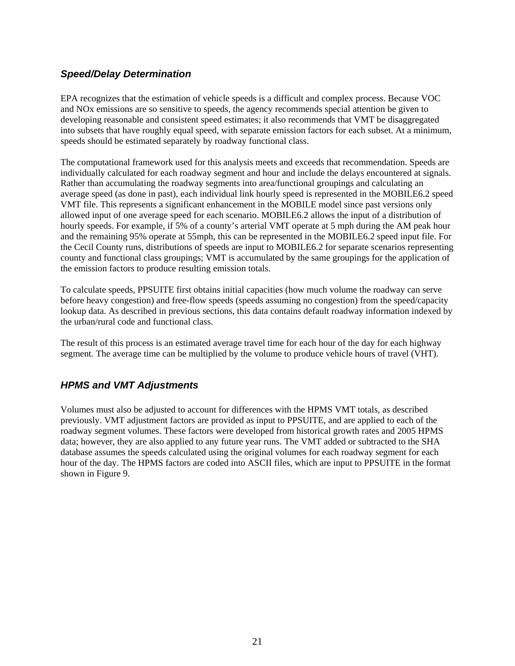#### <span id="page-20-0"></span>*Speed/Delay Determination*

EPA recognizes that the estimation of vehicle speeds is a difficult and complex process. Because VOC and NOx emissions are so sensitive to speeds, the agency recommends special attention be given to developing reasonable and consistent speed estimates; it also recommends that VMT be disaggregated into subsets that have roughly equal speed, with separate emission factors for each subset. At a minimum, speeds should be estimated separately by roadway functional class.

The computational framework used for this analysis meets and exceeds that recommendation. Speeds are individually calculated for each roadway segment and hour and include the delays encountered at signals. Rather than accumulating the roadway segments into area/functional groupings and calculating an average speed (as done in past), each individual link hourly speed is represented in the MOBILE6.2 speed VMT file. This represents a significant enhancement in the MOBILE model since past versions only allowed input of one average speed for each scenario. MOBILE6.2 allows the input of a distribution of hourly speeds. For example, if 5% of a county's arterial VMT operate at 5 mph during the AM peak hour and the remaining 95% operate at 55mph, this can be represented in the MOBILE6.2 speed input file. For the Cecil County runs, distributions of speeds are input to MOBILE6.2 for separate scenarios representing county and functional class groupings; VMT is accumulated by the same groupings for the application of the emission factors to produce resulting emission totals.

To calculate speeds, PPSUITE first obtains initial capacities (how much volume the roadway can serve before heavy congestion) and free-flow speeds (speeds assuming no congestion) from the speed/capacity lookup data. As described in previous sections, this data contains default roadway information indexed by the urban/rural code and functional class.

The result of this process is an estimated average travel time for each hour of the day for each highway segment. The average time can be multiplied by the volume to produce vehicle hours of travel (VHT).

#### *HPMS and VMT Adjustments*

Volumes must also be adjusted to account for differences with the HPMS VMT totals, as described previously. VMT adjustment factors are provided as input to PPSUITE, and are applied to each of the roadway segment volumes. These factors were developed from historical growth rates and 2005 HPMS data; however, they are also applied to any future year runs. The VMT added or subtracted to the SHA database assumes the speeds calculated using the original volumes for each roadway segment for each hour of the day. The HPMS factors are coded into ASCII files, which are input to PPSUITE in the format shown in Figure 9.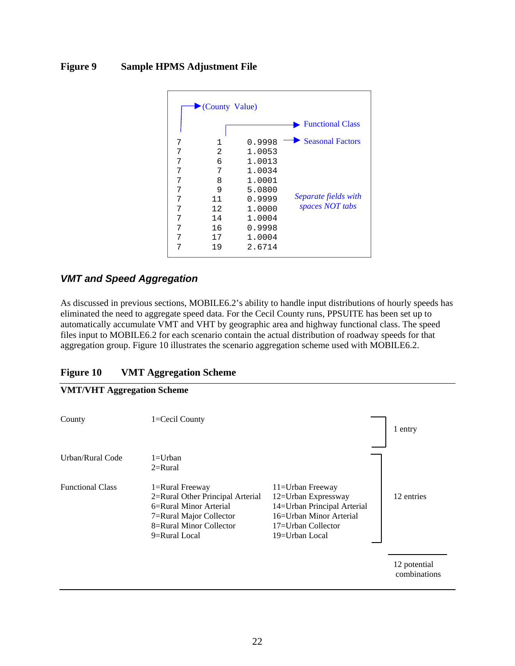#### <span id="page-21-0"></span>**Figure 9 Sample HPMS Adjustment File**

|   | County Value) |        |                                         |
|---|---------------|--------|-----------------------------------------|
|   |               |        | <b>Functional Class</b>                 |
| 7 | $\mathbf 1$   | 0.9998 | <b>Seasonal Factors</b>                 |
| 7 | 2             | 1.0053 |                                         |
| 7 | 6             | 1.0013 |                                         |
| 7 | 7             | 1.0034 |                                         |
| 7 | 8             | 1.0001 |                                         |
| 7 | 9             | 5.0800 | Separate fields with<br>spaces NOT tabs |
| 7 | 11            | 0.9999 |                                         |
| 7 | 12            | 1.0000 |                                         |
| 7 | 14            | 1.0004 |                                         |
| 7 | 16            | 0.9998 |                                         |
| 7 | 17            | 1.0004 |                                         |
| 7 | 19            | 2.6714 |                                         |

#### *VMT and Speed Aggregation*

As discussed in previous sections, MOBILE6.2's ability to handle input distributions of hourly speeds has eliminated the need to aggregate speed data. For the Cecil County runs, PPSUITE has been set up to automatically accumulate VMT and VHT by geographic area and highway functional class. The speed files input to MOBILE6.2 for each scenario contain the actual distribution of roadway speeds for that aggregation group. Figure 10 illustrates the scenario aggregation scheme used with MOBILE6.2.

| <b>Figure 10</b> | <b>VMT Aggregation Scheme</b> |  |
|------------------|-------------------------------|--|
|                  |                               |  |

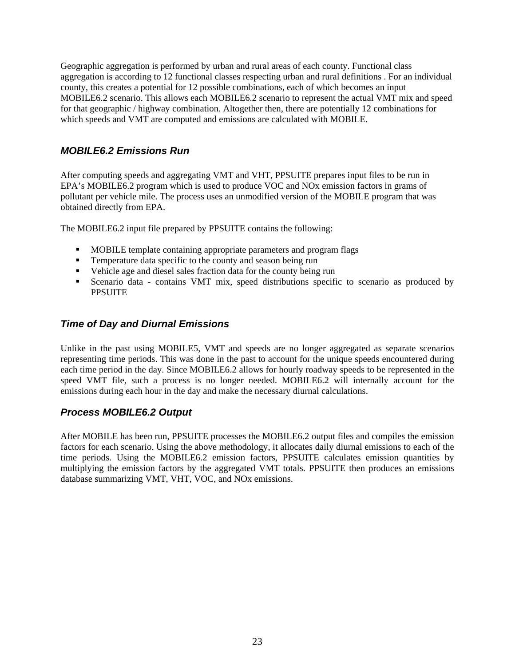<span id="page-22-0"></span>Geographic aggregation is performed by urban and rural areas of each county. Functional class aggregation is according to 12 functional classes respecting urban and rural definitions . For an individual county, this creates a potential for 12 possible combinations, each of which becomes an input MOBILE6.2 scenario. This allows each MOBILE6.2 scenario to represent the actual VMT mix and speed for that geographic / highway combination. Altogether then, there are potentially 12 combinations for which speeds and VMT are computed and emissions are calculated with MOBILE.

#### *MOBILE6.2 Emissions Run*

After computing speeds and aggregating VMT and VHT, PPSUITE prepares input files to be run in EPA's MOBILE6.2 program which is used to produce VOC and NOx emission factors in grams of pollutant per vehicle mile. The process uses an unmodified version of the MOBILE program that was obtained directly from EPA.

The MOBILE6.2 input file prepared by PPSUITE contains the following:

- **MOBILE template containing appropriate parameters and program flags**
- **Temperature data specific to the county and season being run**
- Vehicle age and diesel sales fraction data for the county being run
- Scenario data contains VMT mix, speed distributions specific to scenario as produced by **PPSUITE**

#### *Time of Day and Diurnal Emissions*

Unlike in the past using MOBILE5, VMT and speeds are no longer aggregated as separate scenarios representing time periods. This was done in the past to account for the unique speeds encountered during each time period in the day. Since MOBILE6.2 allows for hourly roadway speeds to be represented in the speed VMT file, such a process is no longer needed. MOBILE6.2 will internally account for the emissions during each hour in the day and make the necessary diurnal calculations.

#### *Process MOBILE6.2 Output*

After MOBILE has been run, PPSUITE processes the MOBILE6.2 output files and compiles the emission factors for each scenario. Using the above methodology, it allocates daily diurnal emissions to each of the time periods. Using the MOBILE6.2 emission factors, PPSUITE calculates emission quantities by multiplying the emission factors by the aggregated VMT totals. PPSUITE then produces an emissions database summarizing VMT, VHT, VOC, and NOx emissions.